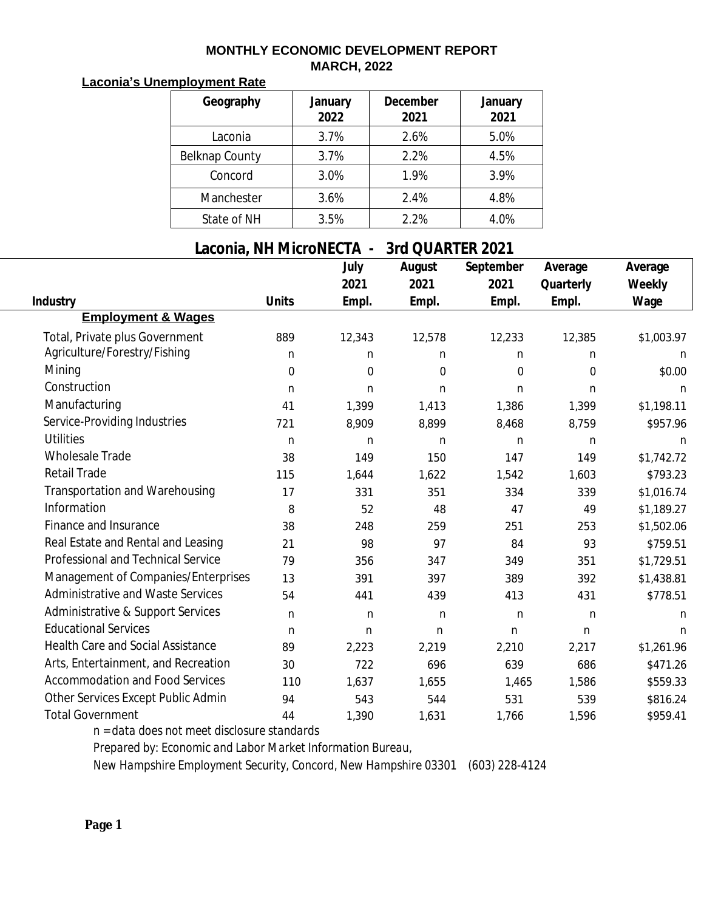## **MONTHLY ECONOMIC DEVELOPMENT REPORT MARCH, 2022**

## **Laconia's Unemployment Rate**

| Geography             | January<br>2022 | <b>December</b><br>2021 | January<br>2021 |
|-----------------------|-----------------|-------------------------|-----------------|
| Laconia               | 3.7%            | 2.6%                    | 5.0%            |
| <b>Belknap County</b> | 3.7%            | 2.2%                    | 4.5%            |
| Concord               | 3.0%            | 1.9%                    | 3.9%            |
| Manchester            | 3.6%            | 2.4%                    | 4.8%            |
| State of NH           | 3.5%            | 2.2%                    | 4.0%            |

## **Laconia, NH MicroNECTA - 3rd QUARTER 2021**

|                                          |                  | July             | August           | September        | Average          | Average     |
|------------------------------------------|------------------|------------------|------------------|------------------|------------------|-------------|
|                                          |                  | 2021             | 2021             | 2021             | Quarterly        | Weekly      |
| Industry                                 | <b>Units</b>     | Empl.            | Empl.            | Empl.            | Empl.            | Wage        |
| <b>Employment &amp; Wages</b>            |                  |                  |                  |                  |                  |             |
| Total, Private plus Government           | 889              | 12,343           | 12,578           | 12,233           | 12,385           | \$1,003.97  |
| Agriculture/Forestry/Fishing             | $\mathbf n$      | n                | $\mathbf n$      | $\mathbf n$      | n                | $\mathbf n$ |
| Mining                                   | $\boldsymbol{0}$ | $\boldsymbol{0}$ | $\boldsymbol{0}$ | $\boldsymbol{0}$ | $\boldsymbol{0}$ | \$0.00      |
| Construction                             | $\mathbf n$      | $\mathbf n$      | $\mathbf n$      | $\mathbf n$      | $\mathbf n$      | $\mathbf n$ |
| Manufacturing                            | 41               | 1,399            | 1,413            | 1,386            | 1,399            | \$1,198.11  |
| Service-Providing Industries             | 721              | 8,909            | 8,899            | 8,468            | 8,759            | \$957.96    |
| <b>Utilities</b>                         | $\mathbf n$      | $\mathbf n$      | $\mathbf n$      | $\mathbf n$      | $\mathbf n$      | n           |
| <b>Wholesale Trade</b>                   | 38               | 149              | 150              | 147              | 149              | \$1,742.72  |
| <b>Retail Trade</b>                      | 115              | 1,644            | 1,622            | 1,542            | 1,603            | \$793.23    |
| <b>Transportation and Warehousing</b>    | 17               | 331              | 351              | 334              | 339              | \$1,016.74  |
| Information                              | 8                | 52               | 48               | 47               | 49               | \$1,189.27  |
| Finance and Insurance                    | 38               | 248              | 259              | 251              | 253              | \$1,502.06  |
| Real Estate and Rental and Leasing       | 21               | 98               | 97               | 84               | 93               | \$759.51    |
| Professional and Technical Service       | 79               | 356              | 347              | 349              | 351              | \$1,729.51  |
| Management of Companies/Enterprises      | 13               | 391              | 397              | 389              | 392              | \$1,438.81  |
| <b>Administrative and Waste Services</b> | 54               | 441              | 439              | 413              | 431              | \$778.51    |
| Administrative & Support Services        | $\mathbf n$      | $\mathbf n$      | $\mathbf n$      | $\mathbf n$      | $\mathbf n$      | $\mathbf n$ |
| <b>Educational Services</b>              | n                | $\mathbf n$      | $\mathbf n$      | $\mathbf n$      | $\mathbf n$      | $\mathbf n$ |
| <b>Health Care and Social Assistance</b> | 89               | 2,223            | 2,219            | 2,210            | 2,217            | \$1,261.96  |
| Arts, Entertainment, and Recreation      | 30               | 722              | 696              | 639              | 686              | \$471.26    |
| <b>Accommodation and Food Services</b>   | 110              | 1,637            | 1,655            | 1,465            | 1,586            | \$559.33    |
| Other Services Except Public Admin       | 94               | 543              | 544              | 531              | 539              | \$816.24    |
| <b>Total Government</b>                  | 44               | 1,390            | 1,631            | 1,766            | 1,596            | \$959.41    |

*n = data does not meet disclosure standards*

*Prepared by: Economic and Labor Market Information Bureau,*

*New Hampshire Employment Security, Concord, New Hampshire 03301 (603) 228-4124*